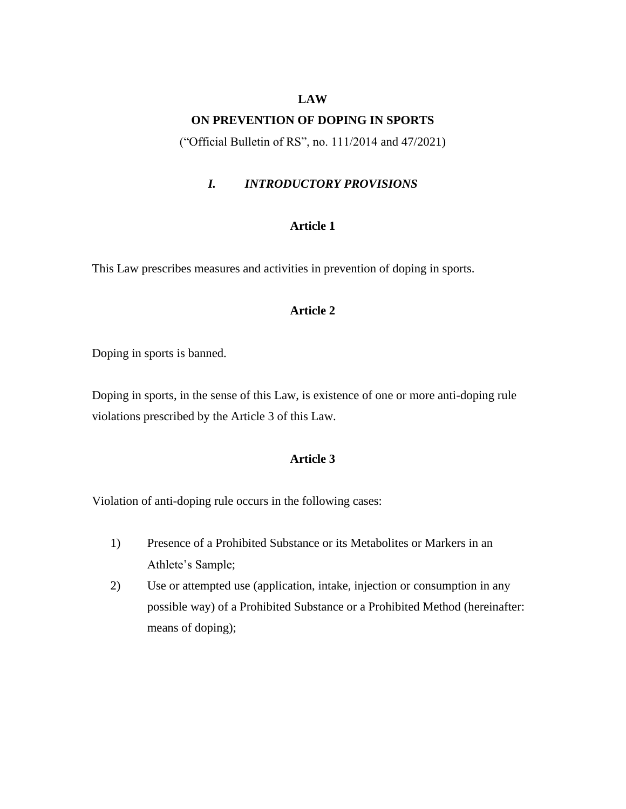#### **LAW**

#### **ON PREVENTION OF DOPING IN SPORTS**

("Official Bulletin of RS", no. 111/2014 and 47/2021)

# *I. INTRODUCTORY PROVISIONS*

## **Article 1**

This Law prescribes measures and activities in prevention of doping in sports.

# **Article 2**

Doping in sports is banned.

Doping in sports, in the sense of this Law, is existence of one or more anti-doping rule violations prescribed by the Article 3 of this Law.

### **Article 3**

Violation of anti-doping rule occurs in the following cases:

- 1) Presence of a Prohibited Substance or its Metabolites or Markers in an Athlete's Sample;
- 2) Use or attempted use (application, intake, injection or consumption in any possible way) of a Prohibited Substance or a Prohibited Method (hereinafter: means of doping);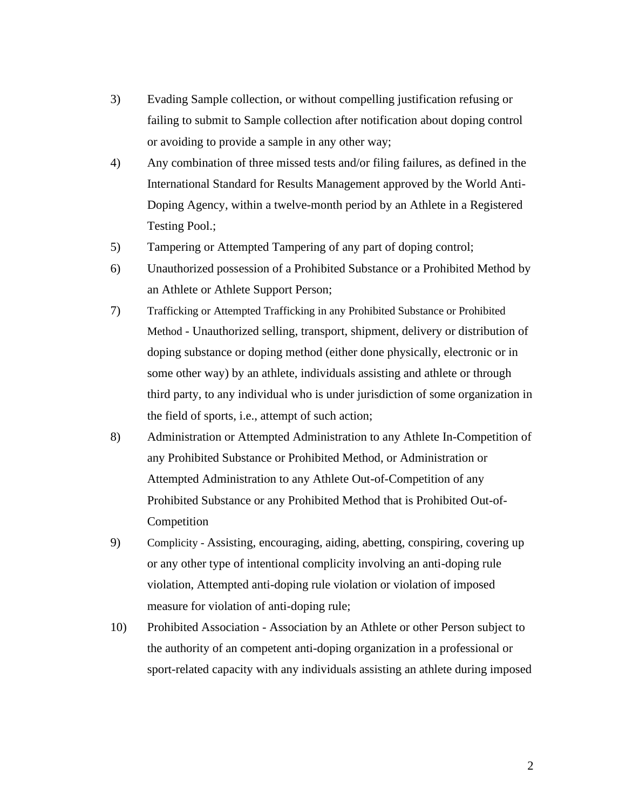- 3) Evading Sample collection, or without compelling justification refusing or failing to submit to Sample collection after notification about doping control or avoiding to provide a sample in any other way;
- 4) Any combination of three missed tests and/or filing failures, as defined in the International Standard for Results Management approved by the World Anti-Doping Agency, within a twelve-month period by an Athlete in a Registered Testing Pool.;
- 5) Tampering or Attempted Tampering of any part of doping control;
- 6) Unauthorized possession of a Prohibited Substance or a Prohibited Method by an Athlete or Athlete Support Person;
- 7) Trafficking or Attempted Trafficking in any Prohibited Substance or Prohibited Method - Unauthorized selling, transport, shipment, delivery or distribution of doping substance or doping method (either done physically, electronic or in some other way) by an athlete, individuals assisting and athlete or through third party, to any individual who is under jurisdiction of some organization in the field of sports, i.e., attempt of such action;
- 8) Administration or Attempted Administration to any Athlete In-Competition of any Prohibited Substance or Prohibited Method, or Administration or Attempted Administration to any Athlete Out-of-Competition of any Prohibited Substance or any Prohibited Method that is Prohibited Out-of-Competition
- 9) Complicity Assisting, encouraging, aiding, abetting, conspiring, covering up or any other type of intentional complicity involving an anti-doping rule violation, Attempted anti-doping rule violation or violation of imposed measure for violation of anti-doping rule;
- 10) Prohibited Association Association by an Athlete or other Person subject to the authority of an competent anti-doping organization in a professional or sport-related capacity with any individuals assisting an athlete during imposed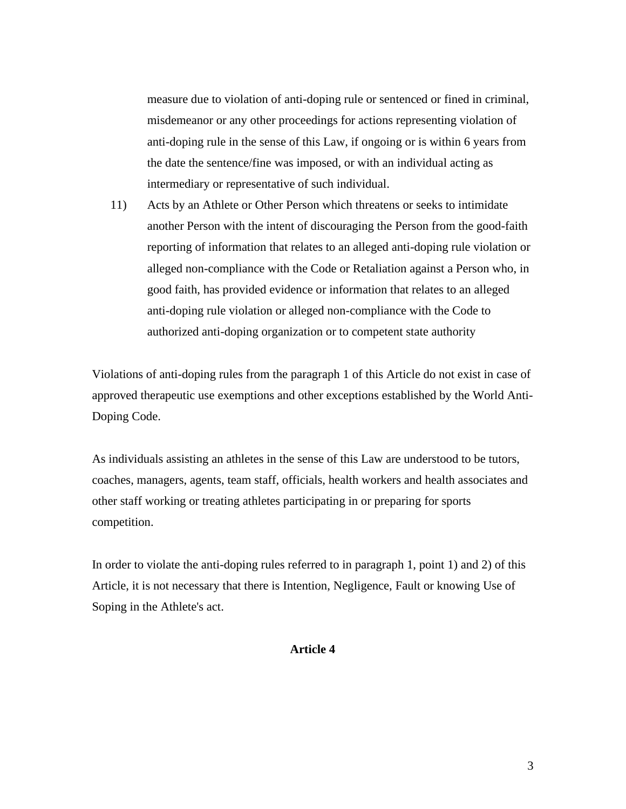measure due to violation of anti-doping rule or sentenced or fined in criminal, misdemeanor or any other proceedings for actions representing violation of anti-doping rule in the sense of this Law, if ongoing or is within 6 years from the date the sentence/fine was imposed, or with an individual acting as intermediary or representative of such individual.

11) Acts by an Athlete or Other Person which threatens or seeks to intimidate another Person with the intent of discouraging the Person from the good-faith reporting of information that relates to an alleged anti-doping rule violation or alleged non-compliance with the Code or Retaliation against a Person who, in good faith, has provided evidence or information that relates to an alleged anti-doping rule violation or alleged non-compliance with the Code to authorized anti-doping organization or to competent state authority

Violations of anti-doping rules from the paragraph 1 of this Article do not exist in case of approved therapeutic use exemptions and other exceptions established by the World Anti-Doping Code.

As individuals assisting an athletes in the sense of this Law are understood to be tutors, coaches, managers, agents, team staff, officials, health workers and health associates and other staff working or treating athletes participating in or preparing for sports competition.

In order to violate the anti-doping rules referred to in paragraph 1, point 1) and 2) of this Article, it is not necessary that there is Intention, Negligence, Fault or knowing Use of Soping in the Athlete's act.

## **Article 4**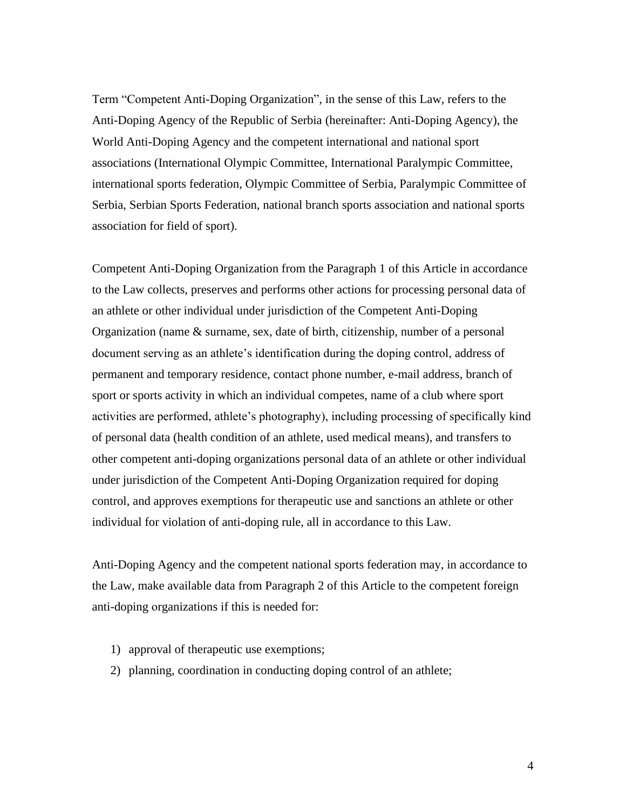Term "Competent Anti-Doping Organization", in the sense of this Law, refers to the Anti-Doping Agency of the Republic of Serbia (hereinafter: Anti-Doping Agency), the World Anti-Doping Agency and the competent international and national sport associations (International Olympic Committee, International Paralympic Committee, international sports federation, Olympic Committee of Serbia, Paralympic Committee of Serbia, Serbian Sports Federation, national branch sports association and national sports association for field of sport).

Competent Anti-Doping Organization from the Paragraph 1 of this Article in accordance to the Law collects, preserves and performs other actions for processing personal data of an athlete or other individual under jurisdiction of the Competent Anti-Doping Organization (name & surname, sex, date of birth, citizenship, number of a personal document serving as an athlete's identification during the doping control, address of permanent and temporary residence, contact phone number, e-mail address, branch of sport or sports activity in which an individual competes, name of a club where sport activities are performed, athlete's photography), including processing of specifically kind of personal data (health condition of an athlete, used medical means), and transfers to other competent anti-doping organizations personal data of an athlete or other individual under jurisdiction of the Competent Anti-Doping Organization required for doping control, and approves exemptions for therapeutic use and sanctions an athlete or other individual for violation of anti-doping rule, all in accordance to this Law.

Anti-Doping Agency and the competent national sports federation may, in accordance to the Law, make available data from Paragraph 2 of this Article to the competent foreign anti-doping оrganizations if this is needed for:

- 1) approval of therapeutic use exemptions;
- 2) planning, coordination in conducting doping control of an athlete;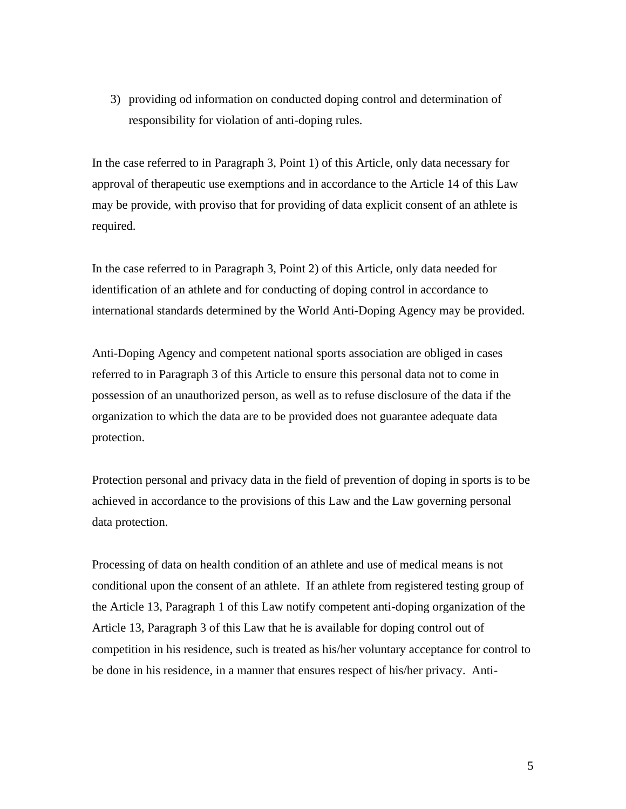3) providing od information on conducted doping control and determination of responsibility for violation of anti-doping rules.

In the case referred to in Paragraph 3, Point 1) of this Article, only data necessary for approval of therapeutic use exemptions and in accordance to the Article 14 of this Law may be provide, with proviso that for providing of data explicit consent of an athlete is required.

In the case referred to in Paragraph 3, Point 2) of this Article, only data needed for identification of an athlete and for conducting of doping control in accordance to international standards determined by the World Anti-Doping Agency may be provided.

Anti-Doping Agency and competent national sports association are obliged in cases referred to in Paragraph 3 of this Article to ensure this personal data not to come in possession of an unauthorized person, as well as to refuse disclosure of the data if the organization to which the data are to be provided does not guarantee adequate data protection.

Protection personal and privacy data in the field of prevention of doping in sports is to be achieved in accordance to the provisions of this Law and the Law governing personal data protection.

Processing of data on health condition of an athlete and use of medical means is not conditional upon the consent of an athlete. If an athlete from registered testing group of the Article 13, Paragraph 1 of this Law notify competent anti-doping organization of the Article 13, Paragraph 3 of this Law that he is available for doping control out of competition in his residence, such is treated as his/her voluntary acceptance for control to be done in his residence, in a manner that ensures respect of his/her privacy. Anti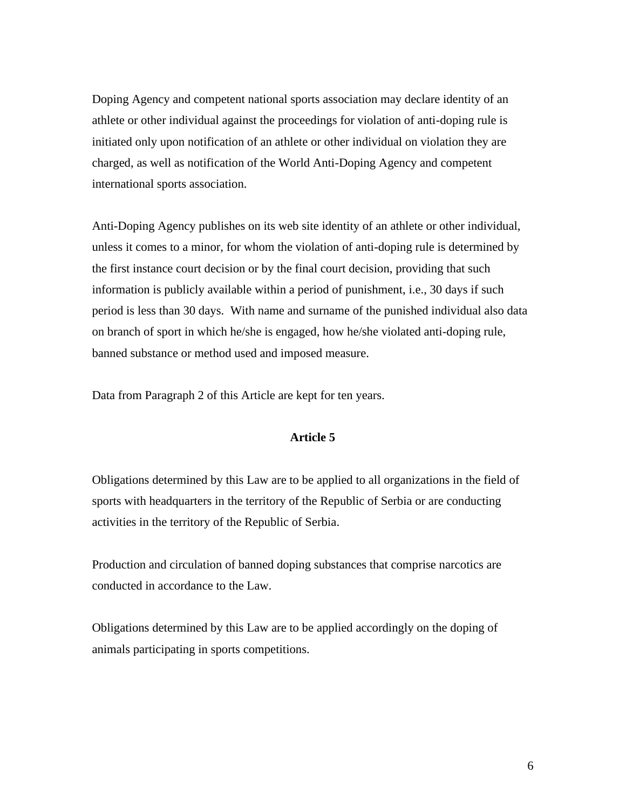Doping Agency and competent national sports association may declare identity of an athlete or other individual against the proceedings for violation of anti-doping rule is initiated only upon notification of an athlete or other individual on violation they are charged, as well as notification of the World Anti-Doping Agency and competent international sports association.

Anti-Doping Agency publishes on its web site identity of an athlete or other individual, unless it comes to a minor, for whom the violation of anti-doping rule is determined by the first instance court decision or by the final court decision, providing that such information is publicly available within a period of punishment, i.e., 30 days if such period is less than 30 days. With name and surname of the punished individual also data on branch of sport in which he/she is engaged, how he/she violated anti-doping rule, banned substance or method used and imposed measure.

Data from Paragraph 2 of this Article are kept for ten years.

## **Article 5**

Obligations determined by this Law are to be applied to all organizations in the field of sports with headquarters in the territory of the Republic of Serbia or are conducting activities in the territory of the Republic of Serbia.

Production and circulation of banned doping substances that comprise narcotics are conducted in accordance to the Law.

Obligations determined by this Law are to be applied accordingly on the doping of animals participating in sports competitions.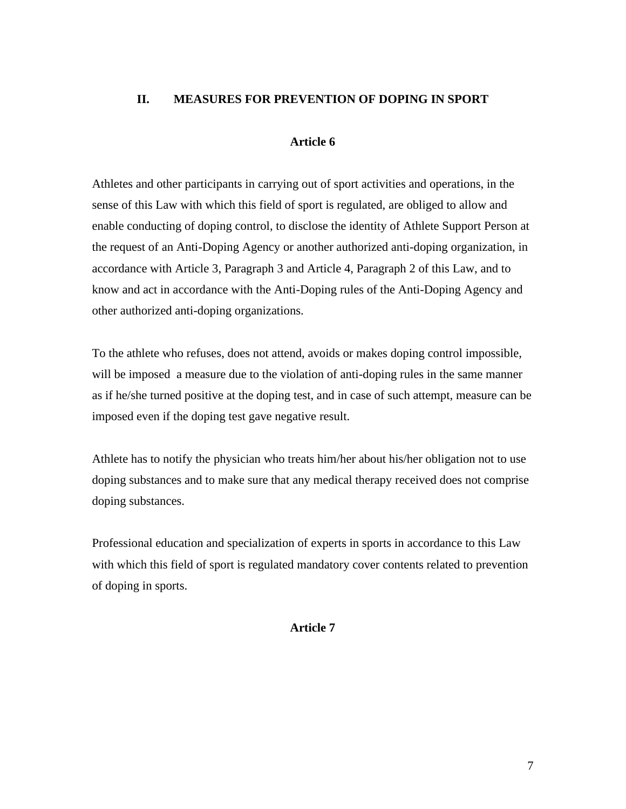# **II. MEASURES FOR PREVENTION OF DOPING IN SPORT**

#### **Article 6**

Athletes and other participants in carrying out of sport activities and operations, in the sense of this Law with which this field of sport is regulated, are obliged to allow and enable conducting of doping control, to disclose the identity of Athlete Support Person at the request of an Anti-Doping Agency or another authorized anti-doping organization, in accordance with Article 3, Paragraph 3 and Article 4, Paragraph 2 of this Law, and to know and act in accordance with the Anti-Doping rules of the Anti-Doping Agency and other authorized anti-doping organizations.

To the athlete who refuses, does not attend, avoids or makes doping control impossible, will be imposed a measure due to the violation of anti-doping rules in the same manner as if he/she turned positive at the doping test, and in case of such attempt, measure can be imposed even if the doping test gave negative result.

Athlete has to notify the physician who treats him/her about his/her obligation not to use doping substances and to make sure that any medical therapy received does not comprise doping substances.

Professional education and specialization of experts in sports in accordance to this Law with which this field of sport is regulated mandatory cover contents related to prevention of doping in sports.

#### **Article 7**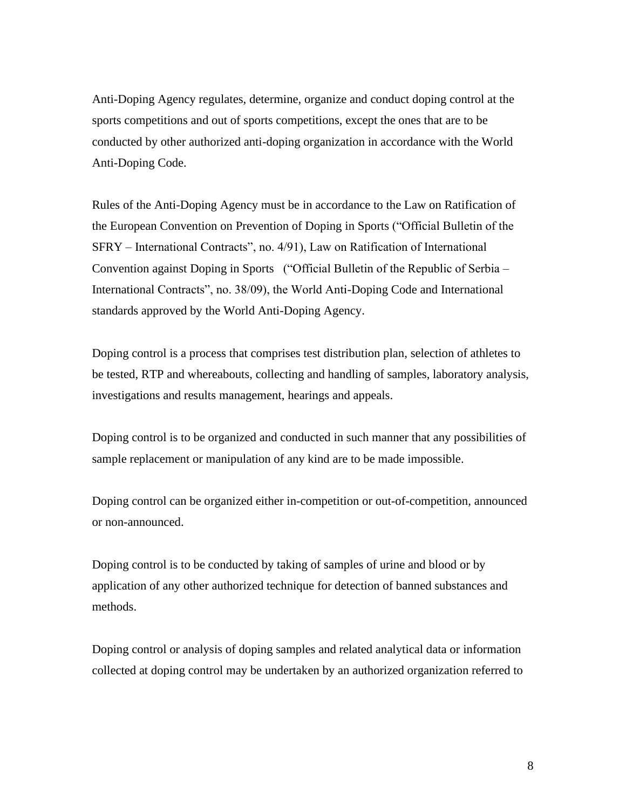Anti-Doping Agency regulates, determine, organize and conduct doping control at the sports competitions and out of sports competitions, except the ones that are to be conducted by other authorized anti-doping organization in accordance with the World Anti-Doping Code.

Rules of the Anti-Doping Agency must be in accordance to the Law on Ratification of the European Convention on Prevention of Doping in Sports ("Official Bulletin of the SFRY – International Contracts", no. 4/91), Law on Ratification of International Convention against Doping in Sports ("Official Bulletin of the Republic of Serbia – International Contracts", no. 38/09), the World Anti-Doping Code and International standards approved by the World Anti-Doping Agency.

Doping control is a process that comprises test distribution plan, selection of athletes to be tested, RTP and whereabouts, collecting and handling of samples, laboratory analysis, investigations and results management, hearings and appeals.

Doping control is to be organized and conducted in such manner that any possibilities of sample replacement or manipulation of any kind are to be made impossible.

Doping control can be organized either in-competition or out-of-competition, announced or non-announced.

Doping control is to be conducted by taking of samples of urine and blood or by application of any other authorized technique for detection of banned substances and methods.

Doping control or analysis of doping samples and related analytical data or information collected at doping control may be undertaken by an authorized organization referred to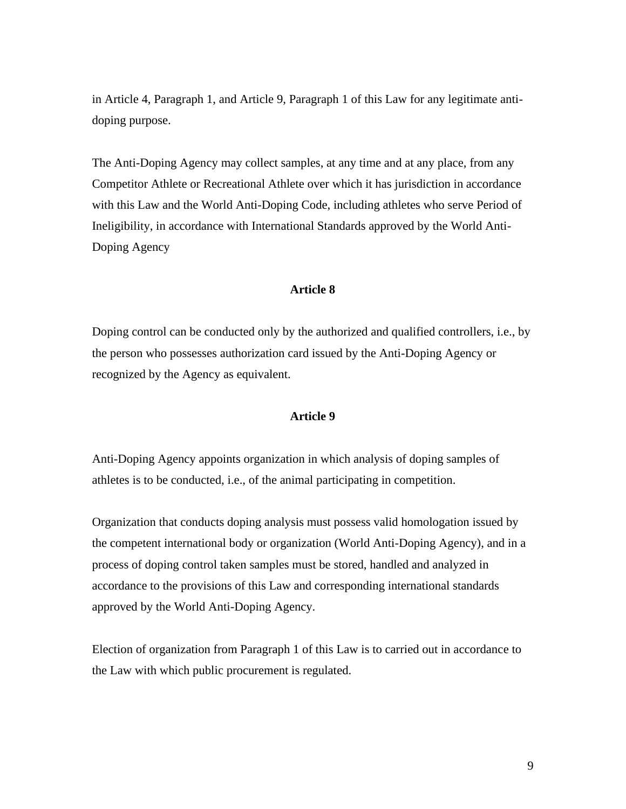in Article 4, Paragraph 1, and Article 9, Paragraph 1 of this Law for any legitimate antidoping purpose.

The Anti-Doping Agency may collect samples, at any time and at any place, from any Competitor Athlete or Recreational Athlete over which it has jurisdiction in accordance with this Law and the World Anti-Doping Code, including athletes who serve Period of Ineligibility, in accordance with International Standards approved by the World Anti-Doping Agency

#### **Article 8**

Doping control can be conducted only by the authorized and qualified controllers, i.e., by the person who possesses authorization card issued by the Anti-Doping Agency or recognized by the Agency as equivalent.

#### **Article 9**

Anti-Doping Agency appoints organization in which analysis of doping samples of athletes is to be conducted, i.e., of the animal participating in competition.

Organization that conducts doping analysis must possess valid homologation issued by the competent international body or organization (World Anti-Doping Agency), and in a process of doping control taken samples must be stored, handled and analyzed in accordance to the provisions of this Law and corresponding international standards approved by the World Anti-Doping Agency.

Election of organization from Paragraph 1 of this Law is to carried out in accordance to the Law with which public procurement is regulated.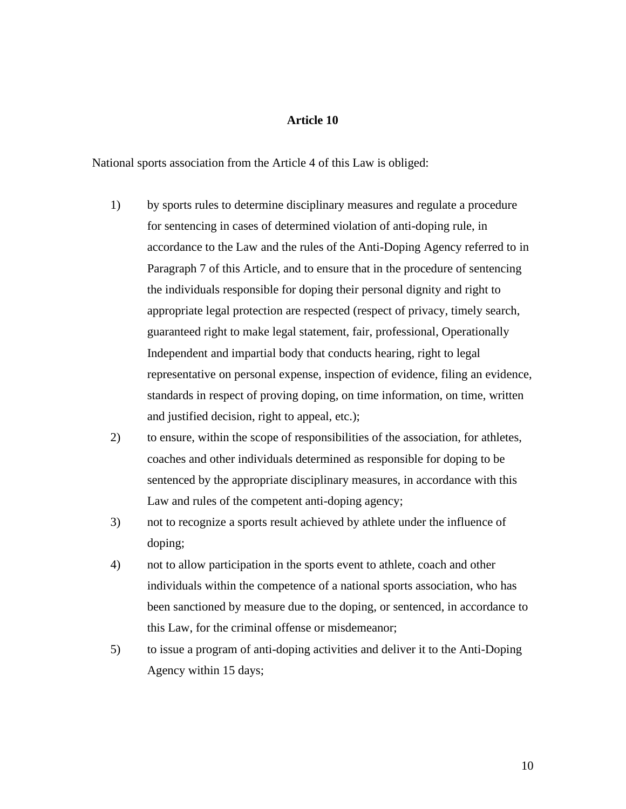# **Article 10**

National sports association from the Article 4 of this Law is obliged:

- 1) by sports rules to determine disciplinary measures and regulate a procedure for sentencing in cases of determined violation of anti-doping rule, in accordance to the Law and the rules of the Anti-Doping Agency referred to in Paragraph 7 of this Article, and to ensure that in the procedure of sentencing the individuals responsible for doping their personal dignity and right to appropriate legal protection are respected (respect of privacy, timely search, guaranteed right to make legal statement, fair, professional, Operationally Independent and impartial body that conducts hearing, right to legal representative on personal expense, inspection of evidence, filing an evidence, standards in respect of proving doping, on time information, on time, written and justified decision, right to appeal, etc.);
- 2) to ensure, within the scope of responsibilities of the association, for athletes, coaches and other individuals determined as responsible for doping to be sentenced by the appropriate disciplinary measures, in accordance with this Law and rules of the competent anti-doping agency;
- 3) not to recognize a sports result achieved by athlete under the influence of doping;
- 4) not to allow participation in the sports event to athlete, coach and other individuals within the competence of a national sports association, who has been sanctioned by measure due to the doping, or sentenced, in accordance to this Law, for the criminal offense or misdemeanor;
- 5) to issue a program of anti-doping activities and deliver it to the Anti-Doping Agency within 15 days;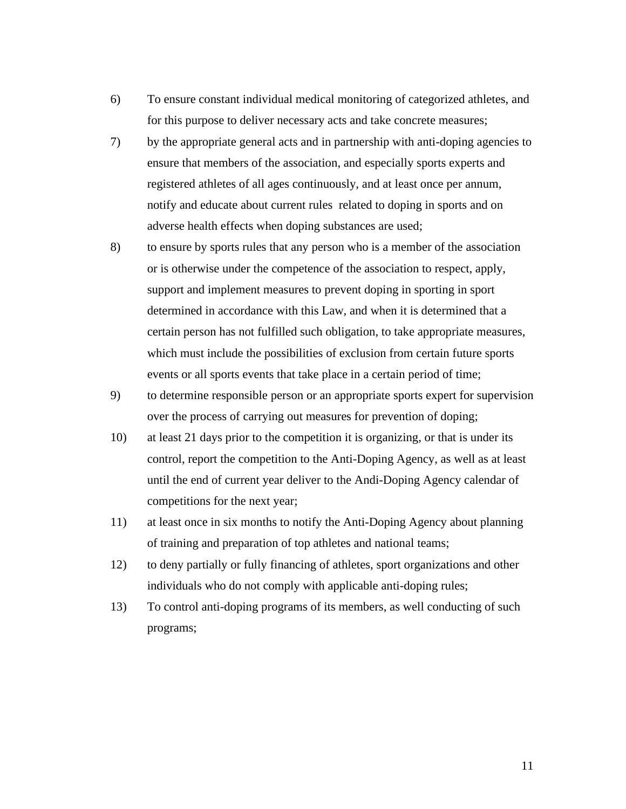- 6) To ensure constant individual medical monitoring of categorized athletes, and for this purpose to deliver necessary acts and take concrete measures;
- 7) by the appropriate general acts and in partnership with anti-doping agencies to ensure that members of the association, and especially sports experts and registered athletes of all ages continuously, and at least once per annum, notify and educate about current rules related to doping in sports and on adverse health effects when doping substances are used;
- 8) to ensure by sports rules that any person who is a member of the association or is otherwise under the competence of the association to respect, apply, support and implement measures to prevent doping in sporting in sport determined in accordance with this Law, and when it is determined that a certain person has not fulfilled such obligation, to take appropriate measures, which must include the possibilities of exclusion from certain future sports events or all sports events that take place in a certain period of time;
- 9) to determine responsible person or an appropriate sports expert for supervision over the process of carrying out measures for prevention of doping;
- 10) at least 21 days prior to the competition it is organizing, or that is under its control, report the competition to the Anti-Doping Agency, as well as at least until the end of current year deliver to the Andi-Doping Agency calendar of competitions for the next year;
- 11) at least once in six months to notify the Anti-Doping Agency about planning of training and preparation of top athletes and national teams;
- 12) to deny partially or fully financing of athletes, sport organizations and other individuals who do not comply with applicable anti-doping rules;
- 13) To control anti-doping programs of its members, as well conducting of such programs;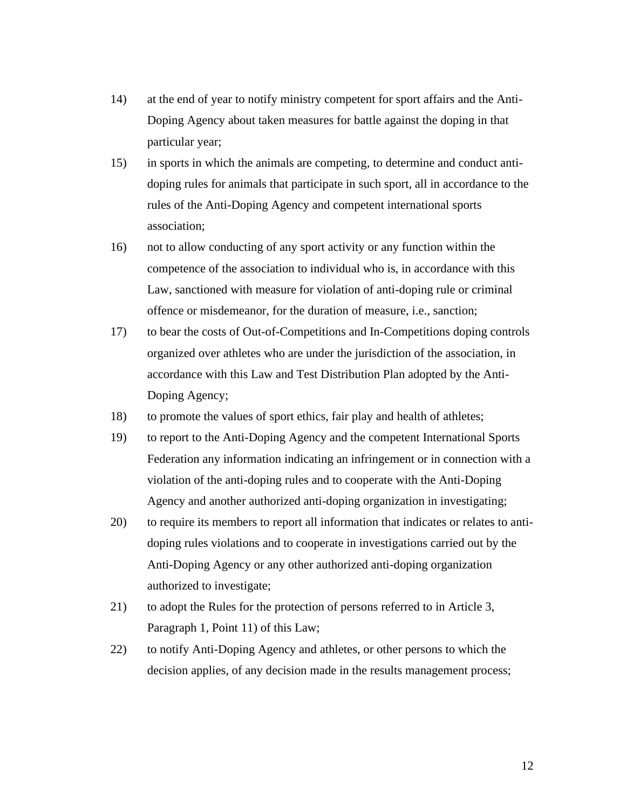- 14) at the end of year to notify ministry competent for sport affairs and the Anti-Doping Agency about taken measures for battle against the doping in that particular year;
- 15) in sports in which the animals are competing, to determine and conduct antidoping rules for animals that participate in such sport, all in accordance to the rules of the Anti-Doping Agency and competent international sports association;
- 16) not to allow conducting of any sport activity or any function within the competence of the association to individual who is, in accordance with this Law, sanctioned with measure for violation of anti-doping rule or criminal offence or misdemeanor, for the duration of measure, i.e., sanction;
- 17) to bear the costs of Out-of-Competitions and In-Competitions doping controls organized over athletes who are under the jurisdiction of the association, in accordance with this Law and Test Distribution Plan adopted by the Anti-Doping Agency;
- 18) to promote the values of sport ethics, fair play and health of athletes;
- 19) to report to the Anti-Doping Agency and the competent International Sports Federation any information indicating an infringement or in connection with a violation of the anti-doping rules and to cooperate with the Anti-Doping Agency and another authorized anti-doping organization in investigating;
- 20) to require its members to report all information that indicates or relates to antidoping rules violations and to cooperate in investigations carried out by the Anti-Doping Agency or any other authorized anti-doping organization authorized to investigate;
- 21) to adopt the Rules for the protection of persons referred to in Article 3, Paragraph 1, Point 11) of this Law;
- 22) to notify Anti-Doping Agency and athletes, or other persons to which the decision applies, of any decision made in the results management process;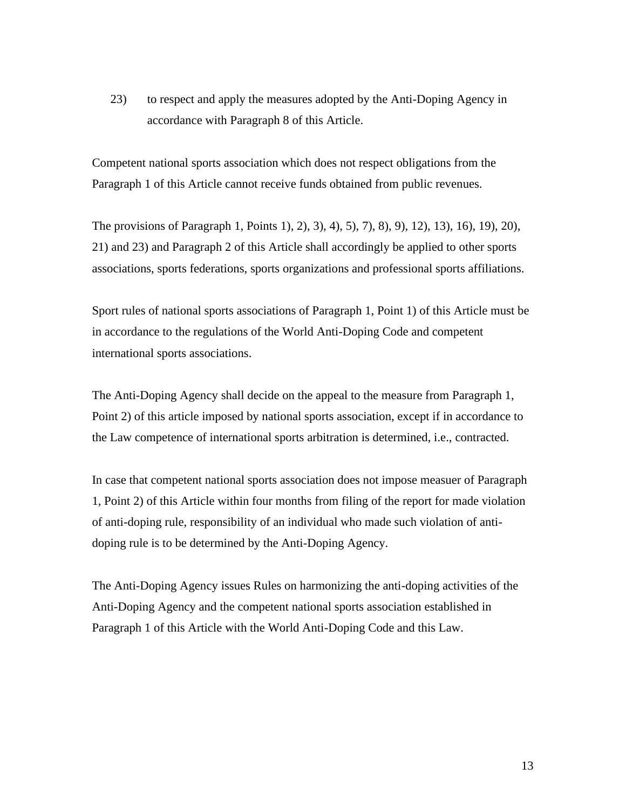23) to respect and apply the measures adopted by the Anti-Doping Agency in accordance with Paragraph 8 of this Article.

Competent national sports association which does not respect obligations from the Paragraph 1 of this Article cannot receive funds obtained from public revenues.

The provisions of Paragraph 1, Points 1), 2), 3), 4), 5), 7), 8), 9), 12), 13), 16), 19), 20), 21) and 23) and Paragraph 2 of this Article shall accordingly be applied to other sports associations, sports federations, sports organizations and professional sports affiliations.

Sport rules of national sports associations of Paragraph 1, Point 1) of this Article must be in accordance to the regulations of the World Anti-Doping Code and competent international sports associations.

The Anti-Doping Agency shall decide on the appeal to the measure from Paragraph 1, Point 2) of this article imposed by national sports association, except if in accordance to the Law competence of international sports arbitration is determined, i.e., contracted.

In case that competent national sports association does not impose measuer of Paragraph 1, Point 2) of this Article within four months from filing of the report for made violation of anti-doping rule, responsibility of an individual who made such violation of antidoping rule is to be determined by the Anti-Doping Agency.

The Anti-Doping Agency issues Rules on harmonizing the anti-doping activities of the Anti-Doping Agency and the competent national sports association established in Paragraph 1 of this Article with the World Anti-Doping Code and this Law.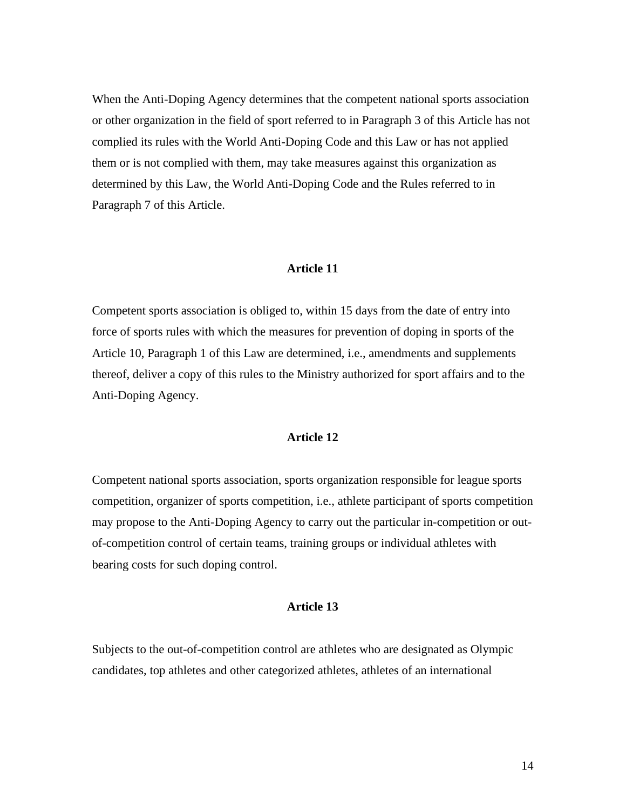When the Anti-Doping Agency determines that the competent national sports association or other organization in the field of sport referred to in Paragraph 3 of this Article has not complied its rules with the World Anti-Doping Code and this Law or has not applied them or is not complied with them, may take measures against this organization as determined by this Law, the World Anti-Doping Code and the Rules referred to in Paragraph 7 of this Article.

#### **Article 11**

Competent sports association is obliged to, within 15 days from the date of entry into force of sports rules with which the measures for prevention of doping in sports of the Article 10, Paragraph 1 of this Law are determined, i.e., amendments and supplements thereof, deliver a copy of this rules to the Ministry authorized for sport affairs and to the Anti-Doping Agency.

## **Article 12**

Competent national sports association, sports organization responsible for league sports competition, organizer of sports competition, i.e., athlete participant of sports competition may propose to the Anti-Doping Agency to carry out the particular in-competition or outof-competition control of certain teams, training groups or individual athletes with bearing costs for such doping control.

#### **Article 13**

Subjects to the out-of-competition control are athletes who are designated as Olympic candidates, top athletes and other categorized athletes, athletes of an international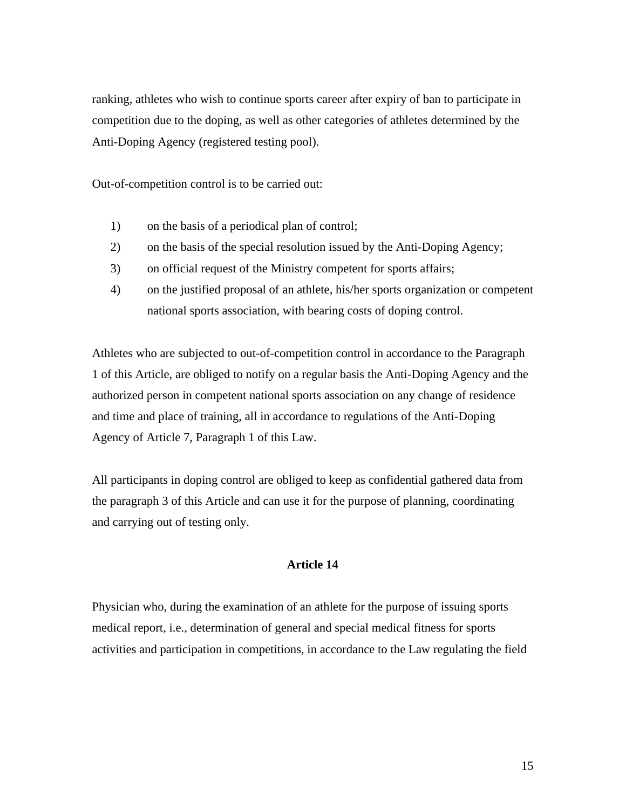ranking, athletes who wish to continue sports career after expiry of ban to participate in competition due to the doping, as well as other categories of athletes determined by the Anti-Doping Agency (registered testing pool).

Out-of-competition control is to be carried out:

- 1) on the basis of a periodical plan of control;
- 2) on the basis of the special resolution issued by the Anti-Doping Agency;
- 3) on official request of the Ministry competent for sports affairs;
- 4) on the justified proposal of an athlete, his/her sports organization or competent national sports association, with bearing costs of doping control.

Athletes who are subjected to out-of-competition control in accordance to the Paragraph 1 of this Article, are obliged to notify on a regular basis the Anti-Doping Agency and the authorized person in competent national sports association on any change of residence and time and place of training, all in accordance to regulations of the Anti-Doping Agency of Article 7, Paragraph 1 of this Law.

All participants in doping control are obliged to keep as confidential gathered data from the paragraph 3 of this Article and can use it for the purpose of planning, coordinating and carrying out of testing only.

## **Article 14**

Physician who, during the examination of an athlete for the purpose of issuing sports medical report, i.e., determination of general and special medical fitness for sports activities and participation in competitions, in accordance to the Law regulating the field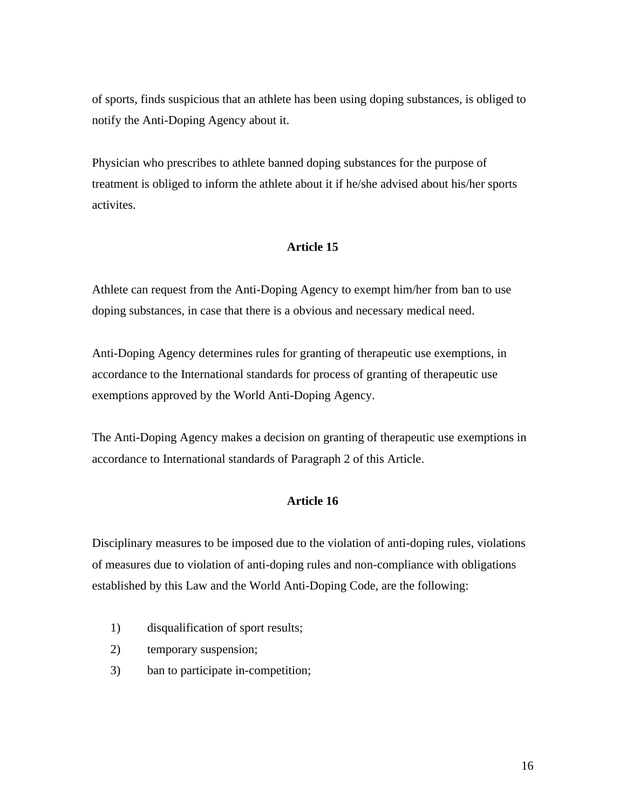of sports, finds suspicious that an athlete has been using doping substances, is obliged to notify the Anti-Doping Agency about it.

Physician who prescribes to athlete banned doping substances for the purpose of treatment is obliged to inform the athlete about it if he/she advised about his/her sports activites.

# **Article 15**

Athlete can request from the Anti-Doping Agency to exempt him/her from ban to use doping substances, in case that there is a obvious and necessary medical need.

Anti-Doping Agency determines rules for granting of therapeutic use exemptions, in accordance to the International standards for process of granting of therapeutic use exemptions approved by the World Anti-Doping Agency.

The Anti-Doping Agency makes a decision on granting of therapeutic use exemptions in accordance to International standards of Paragraph 2 of this Article.

## **Article 16**

Disciplinary measures to be imposed due to the violation of anti-doping rules, violations of measures due to violation of anti-doping rules and non-compliance with obligations established by this Law and the World Anti-Doping Code, are the following:

- 1) disqualification of sport results;
- 2) temporary suspension;
- 3) ban to participate in-competition;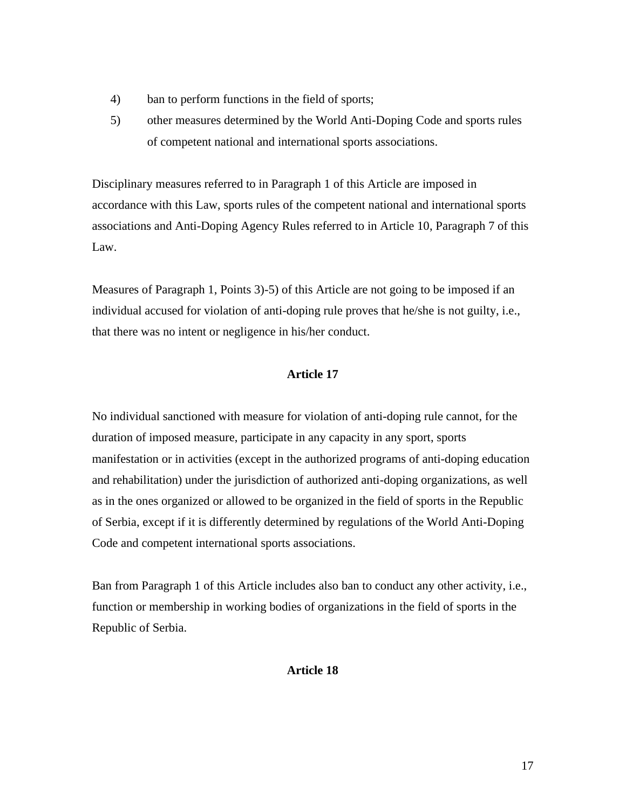- 4) ban to perform functions in the field of sports;
- 5) other measures determined by the World Anti-Doping Code and sports rules of competent national and international sports associations.

Disciplinary measures referred to in Paragraph 1 of this Article are imposed in accordance with this Law, sports rules of the competent national and international sports associations and Anti-Doping Agency Rules referred to in Article 10, Paragraph 7 of this Law.

Measures of Paragraph 1, Points 3)-5) of this Article are not going to be imposed if an individual accused for violation of anti-doping rule proves that he/she is not guilty, i.e., that there was no intent or negligence in his/her conduct.

# **Article 17**

No individual sanctioned with measure for violation of anti-doping rule cannot, for the duration of imposed measure, participate in any capacity in any sport, sports manifestation or in activities (except in the authorized programs of anti-doping education and rehabilitation) under the jurisdiction of authorized anti-doping organizations, as well as in the ones organized or allowed to be organized in the field of sports in the Republic of Serbia, except if it is differently determined by regulations of the World Anti-Doping Code and competent international sports associations.

Ban from Paragraph 1 of this Article includes also ban to conduct any other activity, i.e., function or membership in working bodies of organizations in the field of sports in the Republic of Serbia.

## **Article 18**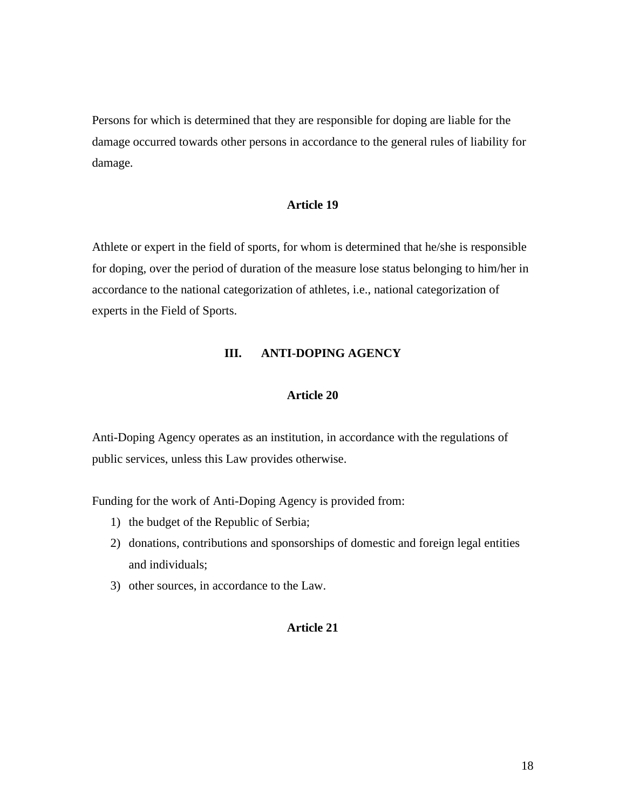Persons for which is determined that they are responsible for doping are liable for the damage occurred towards other persons in accordance to the general rules of liability for damage.

#### **Article 19**

Athlete or expert in the field of sports, for whom is determined that he/she is responsible for doping, over the period of duration of the measure lose status belonging to him/her in accordance to the national categorization of athletes, i.e., national categorization of experts in the Field of Sports.

#### **III. ANTI-DOPING AGENCY**

## **Article 20**

Anti-Doping Agency operates as an institution, in accordance with the regulations of public services, unless this Law provides otherwise.

Funding for the work of Anti-Doping Agency is provided from:

- 1) the budget of the Republic of Serbia;
- 2) donations, contributions and sponsorships of domestic and foreign legal entities and individuals;
- 3) other sources, in accordance to the Law.

#### **Article 21**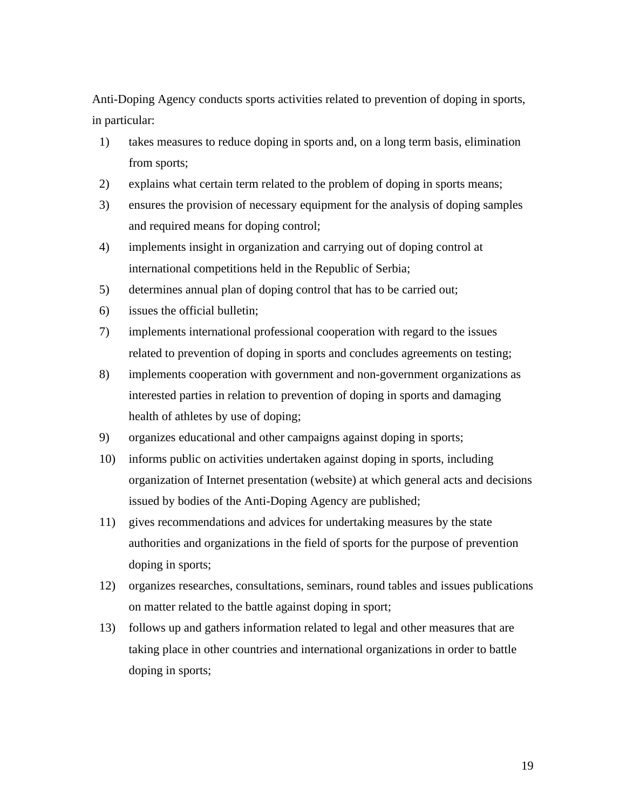Anti-Doping Agency conducts sports activities related to prevention of doping in sports, in particular:

- 1) takes measures to reduce doping in sports and, on a long term basis, elimination from sports;
- 2) explains what certain term related to the problem of doping in sports means;
- 3) ensures the provision of necessary equipment for the analysis of doping samples and required means for doping control;
- 4) implements insight in organization and carrying out of doping control at international competitions held in the Republic of Serbia;
- 5) determines annual plan of doping control that has to be carried out;
- 6) issues the official bulletin;
- 7) implements international professional cooperation with regard to the issues related to prevention of doping in sports and concludes agreements on testing;
- 8) implements cooperation with government and non-government organizations as interested parties in relation to prevention of doping in sports and damaging health of athletes by use of doping;
- 9) organizes educational and other campaigns against doping in sports;
- 10) informs public on activities undertaken against doping in sports, including organization of Internet presentation (website) at which general acts and decisions issued by bodies of the Anti-Doping Agency are published;
- 11) gives recommendations and advices for undertaking measures by the state authorities and organizations in the field of sports for the purpose of prevention doping in sports;
- 12) organizes researches, consultations, seminars, round tables and issues publications on matter related to the battle against doping in sport;
- 13) follows up and gathers information related to legal and other measures that are taking place in other countries and international organizations in order to battle doping in sports;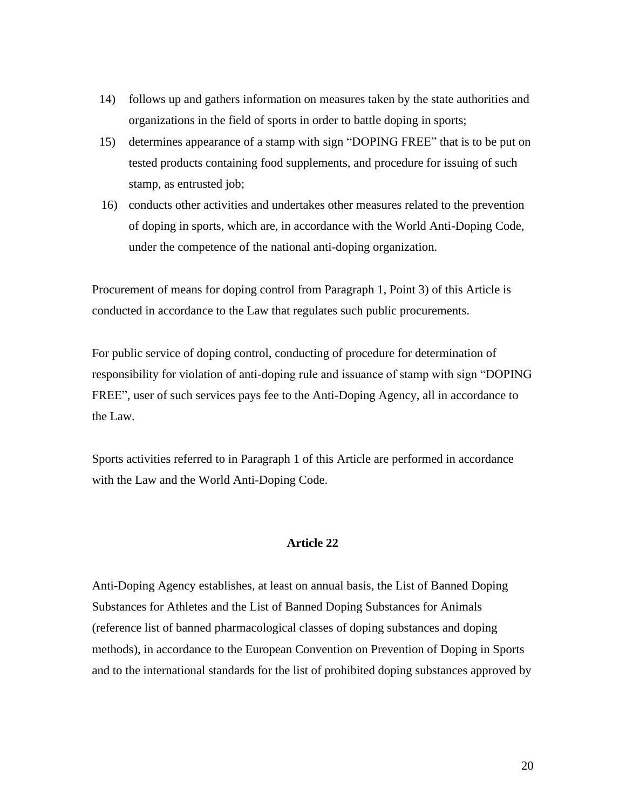- 14) follows up and gathers information on measures taken by the state authorities and organizations in the field of sports in order to battle doping in sports;
- 15) determines appearance of a stamp with sign "DOPING FREE" that is to be put on tested products containing food supplements, and procedure for issuing of such stamp, as entrusted job;
- 16) conducts other activities and undertakes other measures related to the prevention of doping in sports, which are, in accordance with the World Anti-Doping Code, under the competence of the national anti-doping organization.

Procurement of means for doping control from Paragraph 1, Point 3) of this Article is conducted in accordance to the Law that regulates such public procurements.

For public service of doping control, conducting of procedure for determination of responsibility for violation of anti-doping rule and issuance of stamp with sign "DOPING FREE", user of such services pays fee to the Anti-Doping Agency, all in accordance to the Law.

Sports activities referred to in Paragraph 1 of this Article are performed in accordance with the Law and the World Anti-Doping Code.

## **Article 22**

Anti-Doping Agency establishes, at least on annual basis, the List of Banned Doping Substances for Athletes and the List of Banned Doping Substances for Animals (reference list of banned pharmacological classes of doping substances and doping methods), in accordance to the European Convention on Prevention of Doping in Sports and to the international standards for the list of prohibited doping substances approved by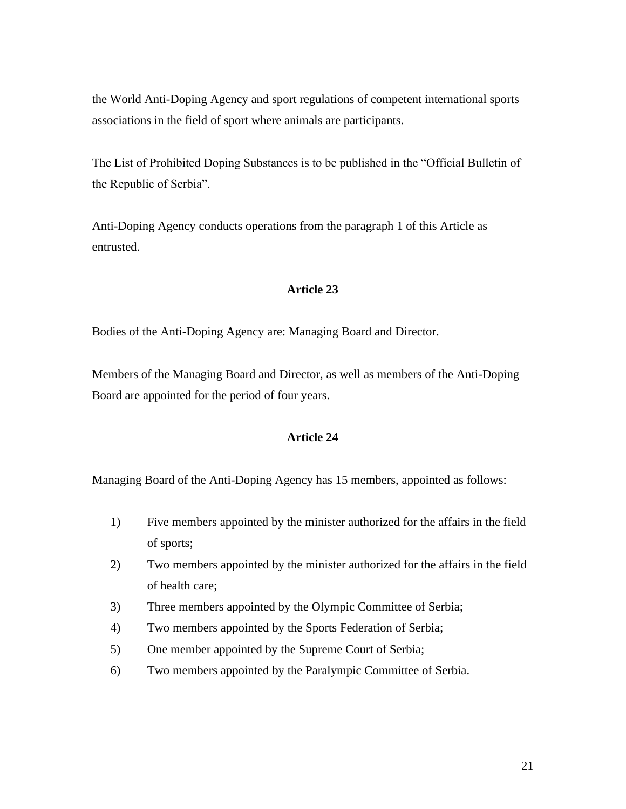the World Anti-Doping Agency and sport regulations of competent international sports associations in the field of sport where animals are participants.

The List of Prohibited Doping Substances is to be published in the "Official Bulletin of the Republic of Serbia".

Anti-Doping Agency conducts operations from the paragraph 1 of this Article as entrusted.

## **Article 23**

Bodies of the Anti-Doping Agency are: Managing Board and Director.

Members of the Managing Board and Director, as well as members of the Anti-Doping Board are appointed for the period of four years.

# **Article 24**

Managing Board of the Anti-Doping Agency has 15 members, appointed as follows:

- 1) Five members appointed by the minister authorized for the affairs in the field of sports;
- 2) Two members appointed by the minister authorized for the affairs in the field of health care;
- 3) Three members appointed by the Olympic Committee of Serbia;
- 4) Two members appointed by the Sports Federation of Serbia;
- 5) One member appointed by the Supreme Court of Serbia;
- 6) Two members appointed by the Paralympic Committee of Serbia.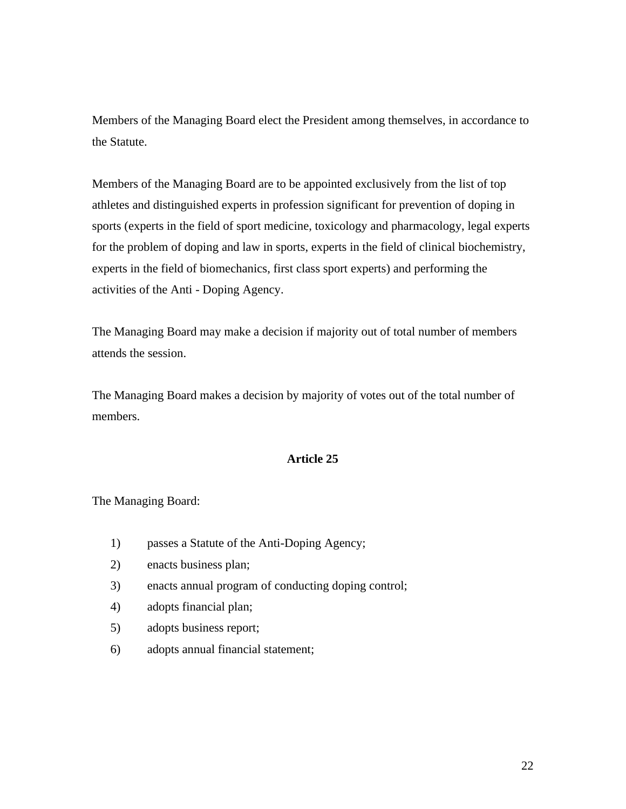Members of the Managing Board elect the President among themselves, in accordance to the Statute.

Members of the Managing Board are to be appointed exclusively from the list of top athletes and distinguished experts in profession significant for prevention of doping in sports (experts in the field of sport medicine, toxicology and pharmacology, legal experts for the problem of doping and law in sports, experts in the field of clinical biochemistry, experts in the field of biomechanics, first class sport experts) and performing the activities of the Anti - Doping Agency.

The Managing Board may make a decision if majority out of total number of members attends the session.

The Managing Board makes a decision by majority of votes out of the total number of members.

## **Article 25**

The Managing Board:

- 1) passes a Statute of the Anti-Doping Agency;
- 2) enacts business plan;
- 3) enacts annual program of conducting doping control;
- 4) adopts financial plan;
- 5) adopts business report;
- 6) adopts annual financial statement;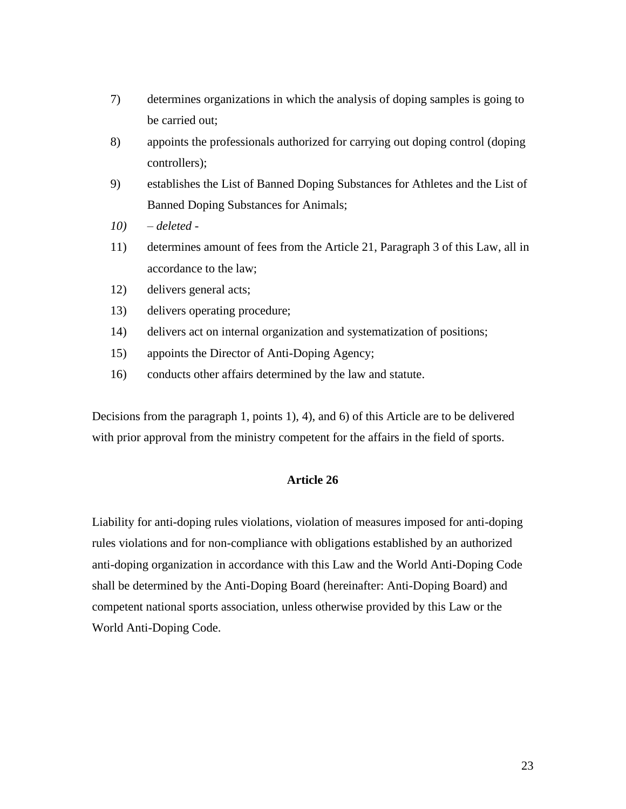- 7) determines organizations in which the analysis of doping samples is going to be carried out;
- 8) appoints the professionals authorized for carrying out doping control (doping controllers);
- 9) establishes the List of Banned Doping Substances for Athletes and the List of Banned Doping Substances for Animals;
- *10) – deleted -*
- 11) determines amount of fees from the Article 21, Paragraph 3 of this Law, all in accordance to the law;
- 12) delivers general acts;
- 13) delivers operating procedure;
- 14) delivers act on internal organization and systematization of positions;
- 15) appoints the Director of Anti-Doping Agency;
- 16) conducts other affairs determined by the law and statute.

Decisions from the paragraph 1, points 1), 4), and 6) of this Article are to be delivered with prior approval from the ministry competent for the affairs in the field of sports.

# **Article 26**

Liability for anti-doping rules violations, violation of measures imposed for anti-doping rules violations and for non-compliance with obligations established by an authorized anti-doping organization in accordance with this Law and the World Anti-Doping Code shall be determined by the Anti-Doping Board (hereinafter: Anti-Doping Board) and competent national sports association, unless otherwise provided by this Law or the World Anti-Doping Code.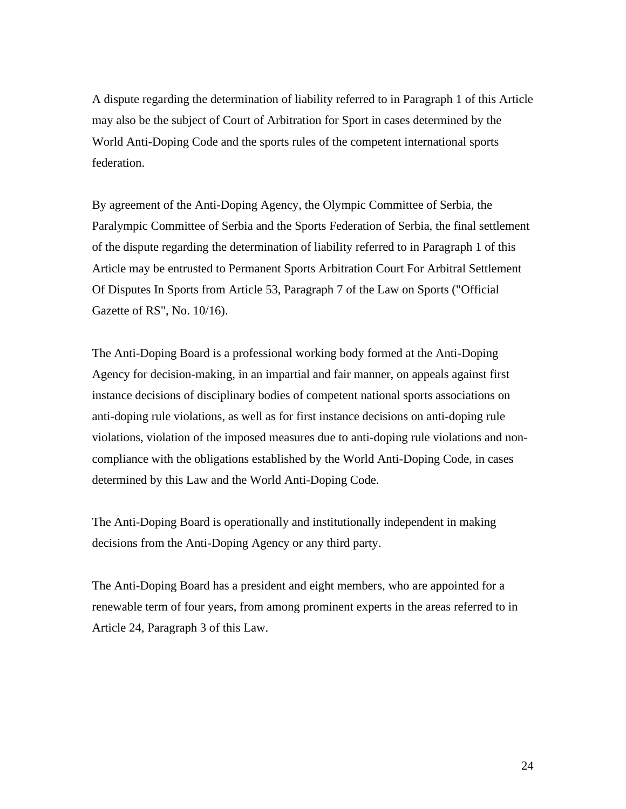A dispute regarding the determination of liability referred to in Paragraph 1 of this Article may also be the subject of Court of Arbitration for Sport in cases determined by the World Anti-Doping Code and the sports rules of the competent international sports federation.

By agreement of the Anti-Doping Agency, the Olympic Committee of Serbia, the Paralympic Committee of Serbia and the Sports Federation of Serbia, the final settlement of the dispute regarding the determination of liability referred to in Paragraph 1 of this Article may be entrusted to Permanent Sports Arbitration Court For Arbitral Settlement Of Disputes In Sports from Article 53, Paragraph 7 of the Law on Sports ("Official Gazette of RS", No. 10/16).

The Anti-Doping Board is a professional working body formed at the Anti-Doping Agency for decision-making, in an impartial and fair manner, on appeals against first instance decisions of disciplinary bodies of competent national sports associations on anti-doping rule violations, as well as for first instance decisions on anti-doping rule violations, violation of the imposed measures due to anti-doping rule violations and noncompliance with the obligations established by the World Anti-Doping Code, in cases determined by this Law and the World Anti-Doping Code.

The Anti-Doping Board is operationally and institutionally independent in making decisions from the Anti-Doping Agency or any third party.

The Anti-Doping Board has a president and eight members, who are appointed for a renewable term of four years, from among prominent experts in the areas referred to in Article 24, Paragraph 3 of this Law.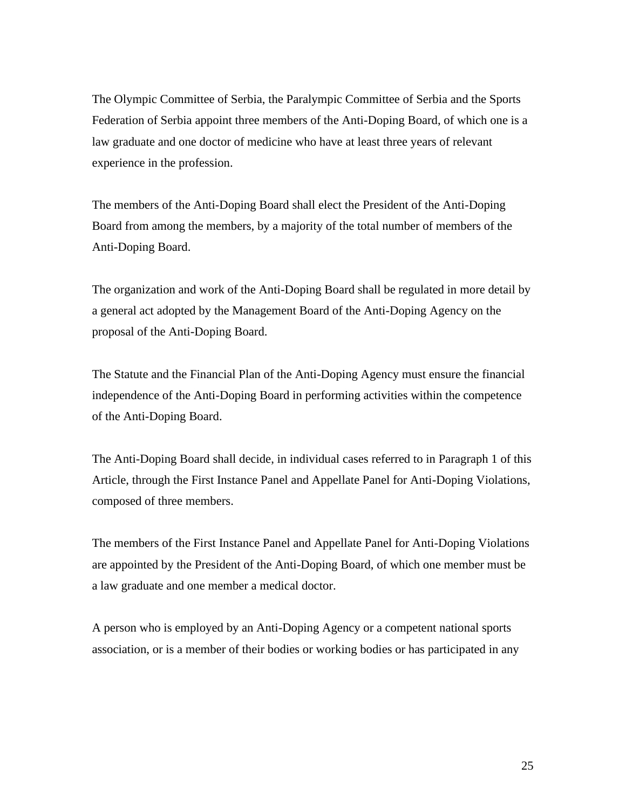The Olympic Committee of Serbia, the Paralympic Committee of Serbia and the Sports Federation of Serbia appoint three members of the Anti-Doping Board, of which one is a law graduate and one doctor of medicine who have at least three years of relevant experience in the profession.

The members of the Anti-Doping Board shall elect the President of the Anti-Doping Board from among the members, by a majority of the total number of members of the Anti-Doping Board.

The organization and work of the Anti-Doping Board shall be regulated in more detail by a general act adopted by the Management Board of the Anti-Doping Agency on the proposal of the Anti-Doping Board.

The Statute and the Financial Plan of the Anti-Doping Agency must ensure the financial independence of the Anti-Doping Board in performing activities within the competence of the Anti-Doping Board.

The Anti-Doping Board shall decide, in individual cases referred to in Paragraph 1 of this Article, through the First Instance Panel and Appellate Panel for Anti-Doping Violations, composed of three members.

The members of the First Instance Panel and Appellate Panel for Anti-Doping Violations are appointed by the President of the Anti-Doping Board, of which one member must be a law graduate and one member a medical doctor.

A person who is employed by an Anti-Doping Agency or a competent national sports association, or is a member of their bodies or working bodies or has participated in any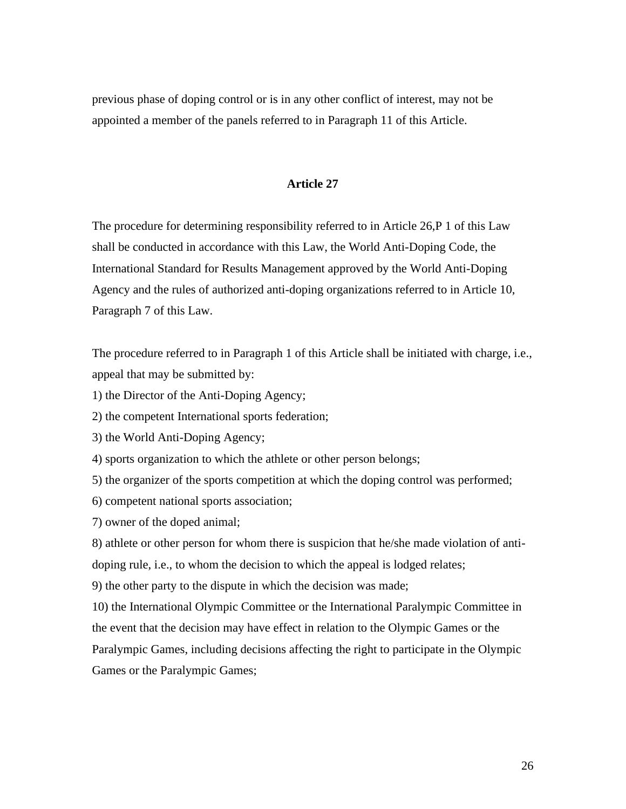previous phase of doping control or is in any other conflict of interest, may not be appointed a member of the panels referred to in Paragraph 11 of this Article.

#### **Article 27**

The procedure for determining responsibility referred to in Article 26,P 1 of this Law shall be conducted in accordance with this Law, the World Anti-Doping Code, the International Standard for Results Management approved by the World Anti-Doping Agency and the rules of authorized anti-doping organizations referred to in Article 10, Paragraph 7 of this Law.

The procedure referred to in Paragraph 1 of this Article shall be initiated with charge, i.e., appeal that may be submitted by:

1) the Director of the Anti-Doping Agency;

2) the competent International sports federation;

3) the World Anti-Doping Agency;

4) sports organization to which the athlete or other person belongs;

5) the organizer of the sports competition at which the doping control was performed;

6) competent national sports association;

7) owner of the doped animal;

8) athlete or other person for whom there is suspicion that he/she made violation of antidoping rule, i.e., to whom the decision to which the appeal is lodged relates;

9) the other party to the dispute in which the decision was made;

10) the International Olympic Committee or the International Paralympic Committee in the event that the decision may have effect in relation to the Olympic Games or the Paralympic Games, including decisions affecting the right to participate in the Olympic Games or the Paralympic Games;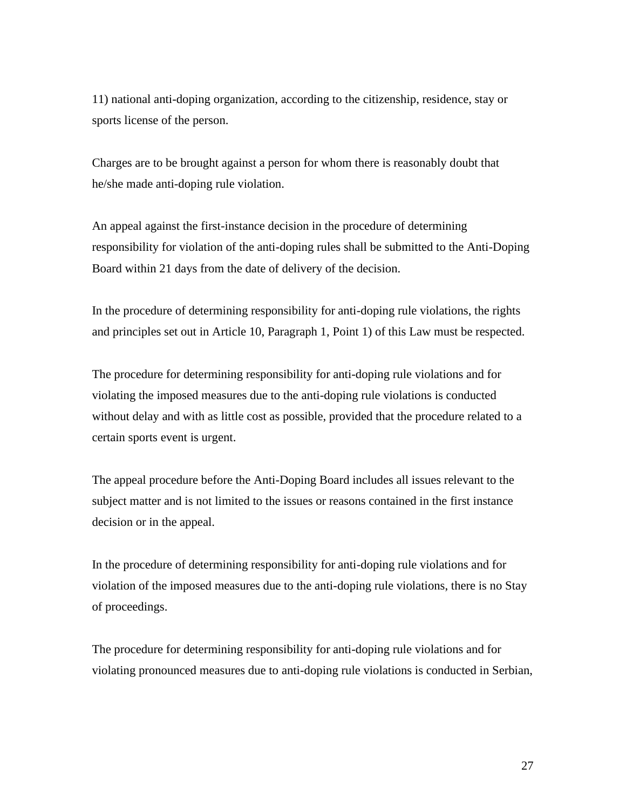11) national anti-doping organization, according to the citizenship, residence, stay or sports license of the person.

Charges are to be brought against a person for whom there is reasonably doubt that he/she made anti-doping rule violation.

An appeal against the first-instance decision in the procedure of determining responsibility for violation of the anti-doping rules shall be submitted to the Anti-Doping Board within 21 days from the date of delivery of the decision.

In the procedure of determining responsibility for anti-doping rule violations, the rights and principles set out in Article 10, Paragraph 1, Point 1) of this Law must be respected.

The procedure for determining responsibility for anti-doping rule violations and for violating the imposed measures due to the anti-doping rule violations is conducted without delay and with as little cost as possible, provided that the procedure related to a certain sports event is urgent.

The appeal procedure before the Anti-Doping Board includes all issues relevant to the subject matter and is not limited to the issues or reasons contained in the first instance decision or in the appeal.

In the procedure of determining responsibility for anti-doping rule violations and for violation of the imposed measures due to the anti-doping rule violations, there is no Stay of proceedings.

The procedure for determining responsibility for anti-doping rule violations and for violating pronounced measures due to anti-doping rule violations is conducted in Serbian,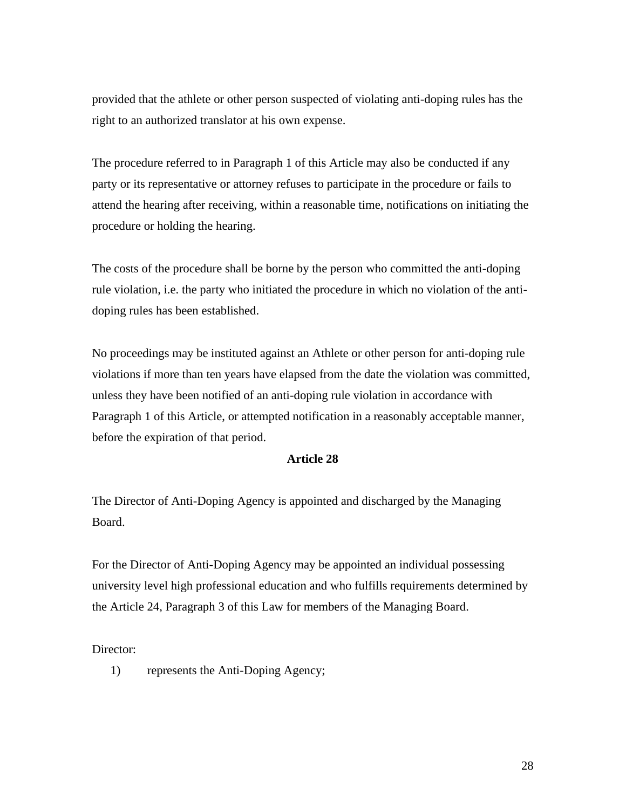provided that the athlete or other person suspected of violating anti-doping rules has the right to an authorized translator at his own expense.

The procedure referred to in Paragraph 1 of this Article may also be conducted if any party or its representative or attorney refuses to participate in the procedure or fails to attend the hearing after receiving, within a reasonable time, notifications on initiating the procedure or holding the hearing.

The costs of the procedure shall be borne by the person who committed the anti-doping rule violation, i.e. the party who initiated the procedure in which no violation of the antidoping rules has been established.

No proceedings may be instituted against an Athlete or other person for anti-doping rule violations if more than ten years have elapsed from the date the violation was committed, unless they have been notified of an anti-doping rule violation in accordance with Paragraph 1 of this Article, or attempted notification in a reasonably acceptable manner, before the expiration of that period.

#### **Article 28**

The Director of Anti-Doping Agency is appointed and discharged by the Managing Board.

For the Director of Anti-Doping Agency may be appointed an individual possessing university level high professional education and who fulfills requirements determined by the Article 24, Paragraph 3 of this Law for members of the Managing Board.

Director:

1) represents the Anti-Doping Agency;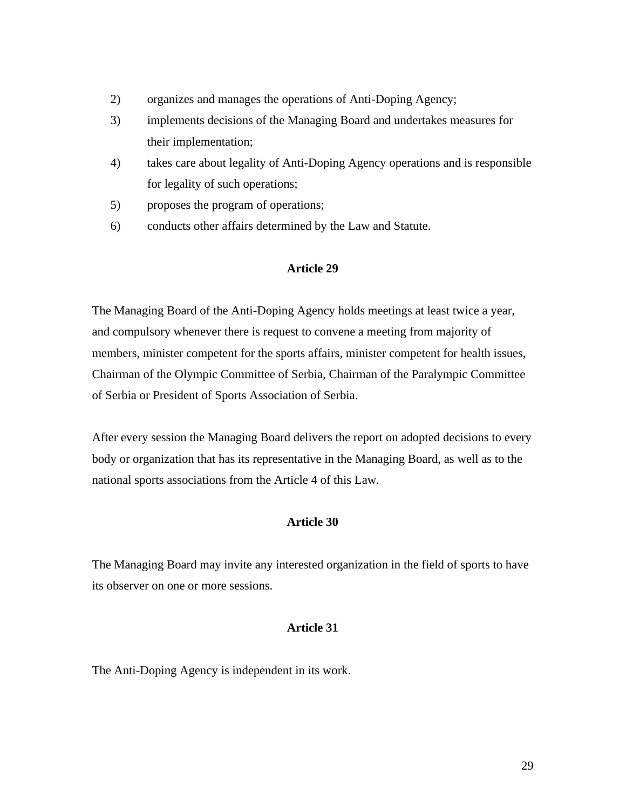- 2) organizes and manages the operations of Anti-Doping Agency;
- 3) implements decisions of the Managing Board and undertakes measures for their implementation;
- 4) takes care about legality of Anti-Doping Agency operations and is responsible for legality of such operations;
- 5) proposes the program of operations;
- 6) conducts other affairs determined by the Law and Statute.

#### **Article 29**

The Managing Board of the Anti-Doping Agency holds meetings at least twice a year, and compulsory whenever there is request to convene a meeting from majority of members, minister competent for the sports affairs, minister competent for health issues, Chairman of the Olympic Committee of Serbia, Chairman of the Paralympic Committee of Serbia or President of Sports Association of Serbia.

After every session the Managing Board delivers the report on adopted decisions to every body or organization that has its representative in the Managing Board, as well as to the national sports associations from the Article 4 of this Law.

# **Article 30**

The Managing Board may invite any interested organization in the field of sports to have its observer on one or more sessions.

#### **Article 31**

The Anti-Doping Agency is independent in its work.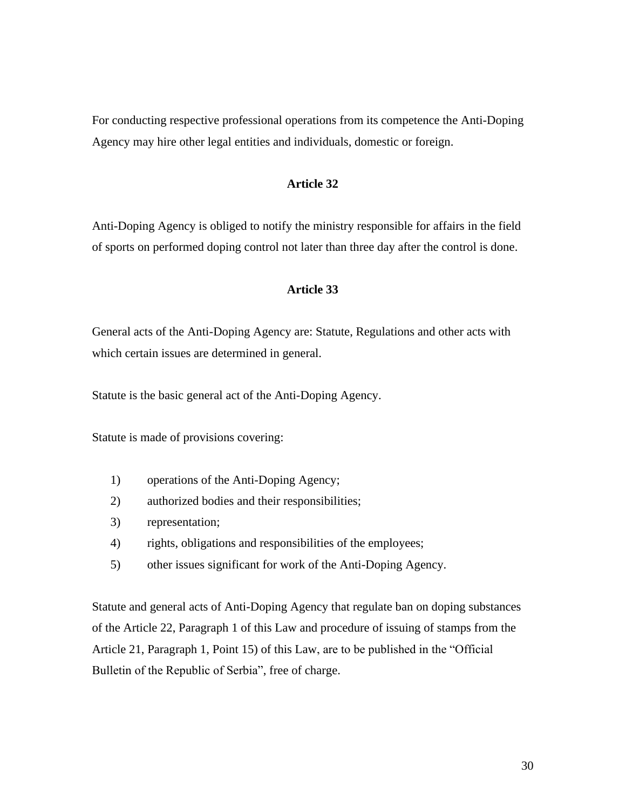For conducting respective professional operations from its competence the Anti-Doping Agency may hire other legal entities and individuals, domestic or foreign.

#### **Article 32**

Anti-Doping Agency is obliged to notify the ministry responsible for affairs in the field of sports on performed doping control not later than three day after the control is done.

#### **Article 33**

General acts of the Anti-Doping Agency are: Statute, Regulations and other acts with which certain issues are determined in general.

Statute is the basic general act of the Anti-Doping Agency.

Statute is made of provisions covering:

- 1) operations of the Anti-Doping Agency;
- 2) authorized bodies and their responsibilities;
- 3) representation;
- 4) rights, obligations and responsibilities of the employees;
- 5) other issues significant for work of the Anti-Doping Agency.

Statute and general acts of Anti-Doping Agency that regulate ban on doping substances of the Article 22, Paragraph 1 of this Law and procedure of issuing of stamps from the Article 21, Paragraph 1, Point 15) of this Law, are to be published in the "Official Bulletin of the Republic of Serbia", free of charge.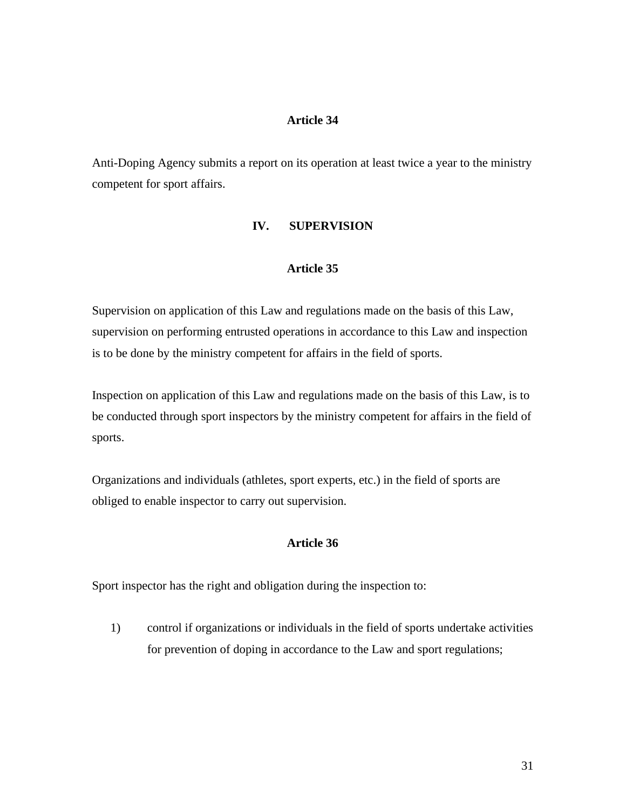# **Article 34**

Anti-Doping Agency submits a report on its operation at least twice a year to the ministry competent for sport affairs.

## **IV. SUPERVISION**

#### **Article 35**

Supervision on application of this Law and regulations made on the basis of this Law, supervision on performing entrusted operations in accordance to this Law and inspection is to be done by the ministry competent for affairs in the field of sports.

Inspection on application of this Law and regulations made on the basis of this Law, is to be conducted through sport inspectors by the ministry competent for affairs in the field of sports.

Organizations and individuals (athletes, sport experts, etc.) in the field of sports are obliged to enable inspector to carry out supervision.

## **Article 36**

Sport inspector has the right and obligation during the inspection to:

1) control if organizations or individuals in the field of sports undertake activities for prevention of doping in accordance to the Law and sport regulations;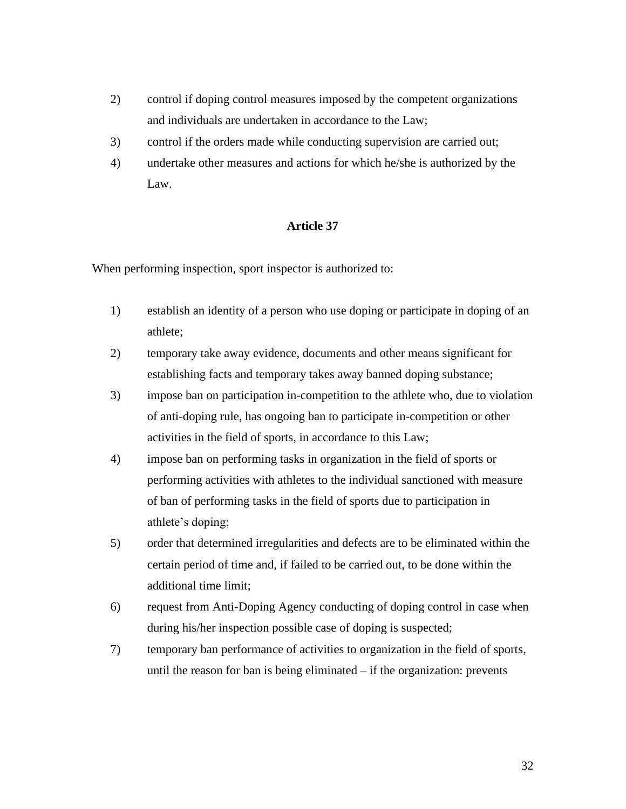- 2) control if doping control measures imposed by the competent organizations and individuals are undertaken in accordance to the Law;
- 3) control if the orders made while conducting supervision are carried out;
- 4) undertake other measures and actions for which he/she is authorized by the Law.

## **Article 37**

When performing inspection, sport inspector is authorized to:

- 1) establish an identity of a person who use doping or participate in doping of an athlete;
- 2) temporary take away evidence, documents and other means significant for establishing facts and temporary takes away banned doping substance;
- 3) impose ban on participation in-competition to the athlete who, due to violation of anti-doping rule, has ongoing ban to participate in-competition or other activities in the field of sports, in accordance to this Law;
- 4) impose ban on performing tasks in organization in the field of sports or performing activities with athletes to the individual sanctioned with measure of ban of performing tasks in the field of sports due to participation in athlete's doping;
- 5) order that determined irregularities and defects are to be eliminated within the certain period of time and, if failed to be carried out, to be done within the additional time limit;
- 6) request from Anti-Doping Agency conducting of doping control in case when during his/her inspection possible case of doping is suspected;
- 7) temporary ban performance of activities to organization in the field of sports, until the reason for ban is being eliminated – if the organization: prevents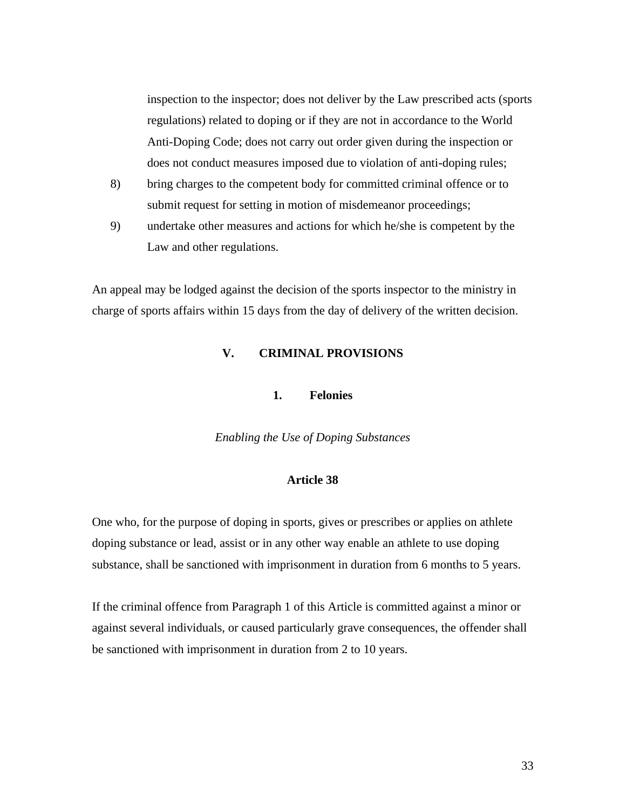inspection to the inspector; does not deliver by the Law prescribed acts (sports regulations) related to doping or if they are not in accordance to the World Anti-Doping Code; does not carry out order given during the inspection or does not conduct measures imposed due to violation of anti-doping rules;

- 8) bring charges to the competent body for committed criminal offence or to submit request for setting in motion of misdemeanor proceedings;
- 9) undertake other measures and actions for which he/she is competent by the Law and other regulations.

An appeal may be lodged against the decision of the sports inspector to the ministry in charge of sports affairs within 15 days from the day of delivery of the written decision.

# **V. CRIMINAL PROVISIONS**

## **1. Felonies**

*Enabling the Use of Doping Substances*

# **Article 38**

One who, for the purpose of doping in sports, gives or prescribes or applies on athlete doping substance or lead, assist or in any other way enable an athlete to use doping substance, shall be sanctioned with imprisonment in duration from 6 months to 5 years.

If the criminal offence from Paragraph 1 of this Article is committed against a minor or against several individuals, or caused particularly grave consequences, the offender shall be sanctioned with imprisonment in duration from 2 to 10 years.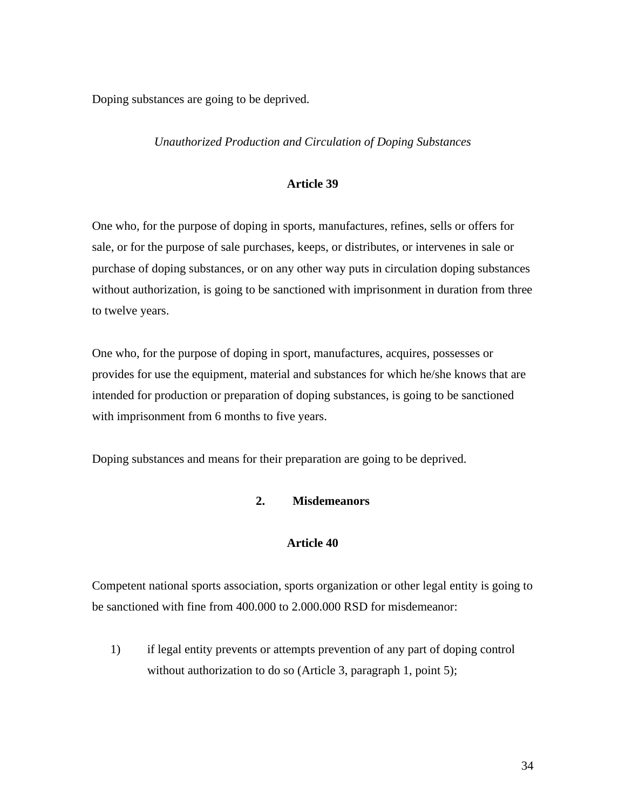Doping substances are going to be deprived.

#### *Unauthorized Production and Circulation of Doping Substances*

#### **Article 39**

One who, for the purpose of doping in sports, manufactures, refines, sells or offers for sale, or for the purpose of sale purchases, keeps, or distributes, or intervenes in sale or purchase of doping substances, or on any other way puts in circulation doping substances without authorization, is going to be sanctioned with imprisonment in duration from three to twelve years.

One who, for the purpose of doping in sport, manufactures, acquires, possesses or provides for use the equipment, material and substances for which he/she knows that are intended for production or preparation of doping substances, is going to be sanctioned with imprisonment from 6 months to five years.

Doping substances and means for their preparation are going to be deprived.

#### **2. Misdemeanors**

#### **Article 40**

Competent national sports association, sports organization or other legal entity is going to be sanctioned with fine from 400.000 to 2.000.000 RSD for misdemeanor:

1) if legal entity prevents or attempts prevention of any part of doping control without authorization to do so (Article 3, paragraph 1, point 5);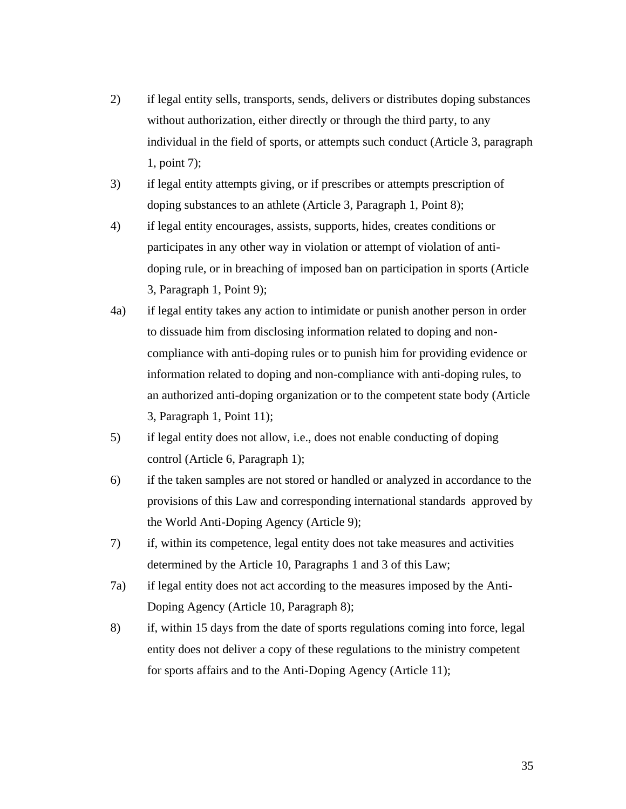- 2) if legal entity sells, transports, sends, delivers or distributes doping substances without authorization, either directly or through the third party, to any individual in the field of sports, or attempts such conduct (Article 3, paragraph 1, point 7);
- 3) if legal entity attempts giving, or if prescribes or attempts prescription of doping substances to an athlete (Article 3, Paragraph 1, Point 8);
- 4) if legal entity encourages, assists, supports, hides, creates conditions or participates in any other way in violation or attempt of violation of antidoping rule, or in breaching of imposed ban on participation in sports (Article 3, Paragraph 1, Point 9);
- 4a) if legal entity takes any action to intimidate or punish another person in order to dissuade him from disclosing information related to doping and noncompliance with anti-doping rules or to punish him for providing evidence or information related to doping and non-compliance with anti-doping rules, to an authorized anti-doping organization or to the competent state body (Article 3, Paragraph 1, Point 11);
- 5) if legal entity does not allow, i.e., does not enable conducting of doping control (Article 6, Paragraph 1);
- 6) if the taken samples are not stored or handled or analyzed in accordance to the provisions of this Law and corresponding international standards approved by the World Anti-Doping Agency (Article 9);
- 7) if, within its competence, legal entity does not take measures and activities determined by the Article 10, Paragraphs 1 and 3 of this Law;
- 7a) if legal entity does not act according to the measures imposed by the Anti-Doping Agency (Article 10, Paragraph 8);
- 8) if, within 15 days from the date of sports regulations coming into force, legal entity does not deliver a copy of these regulations to the ministry competent for sports affairs and to the Anti-Doping Agency (Article 11);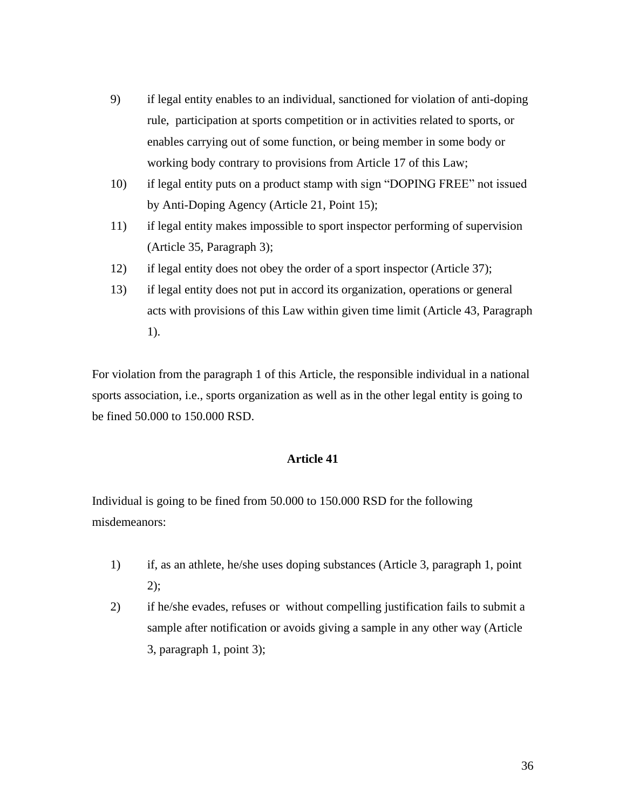- 9) if legal entity enables to an individual, sanctioned for violation of anti-doping rule, participation at sports competition or in activities related to sports, or enables carrying out of some function, or being member in some body or working body contrary to provisions from Article 17 of this Law;
- 10) if legal entity puts on a product stamp with sign "DOPING FREE" not issued by Anti-Doping Agency (Article 21, Point 15);
- 11) if legal entity makes impossible to sport inspector performing of supervision (Article 35, Paragraph 3);
- 12) if legal entity does not obey the order of a sport inspector (Article 37);
- 13) if legal entity does not put in accord its organization, operations or general acts with provisions of this Law within given time limit (Article 43, Paragraph 1).

For violation from the paragraph 1 of this Article, the responsible individual in a national sports association, i.e., sports organization as well as in the other legal entity is going to be fined 50.000 to 150.000 RSD.

## **Article 41**

Individual is going to be fined from 50.000 to 150.000 RSD for the following misdemeanors:

- 1) if, as an athlete, he/she uses doping substances (Article 3, paragraph 1, point 2);
- 2) if he/she evades, refuses or without compelling justification fails to submit a sample after notification or avoids giving a sample in any other way (Article 3, paragraph 1, point 3);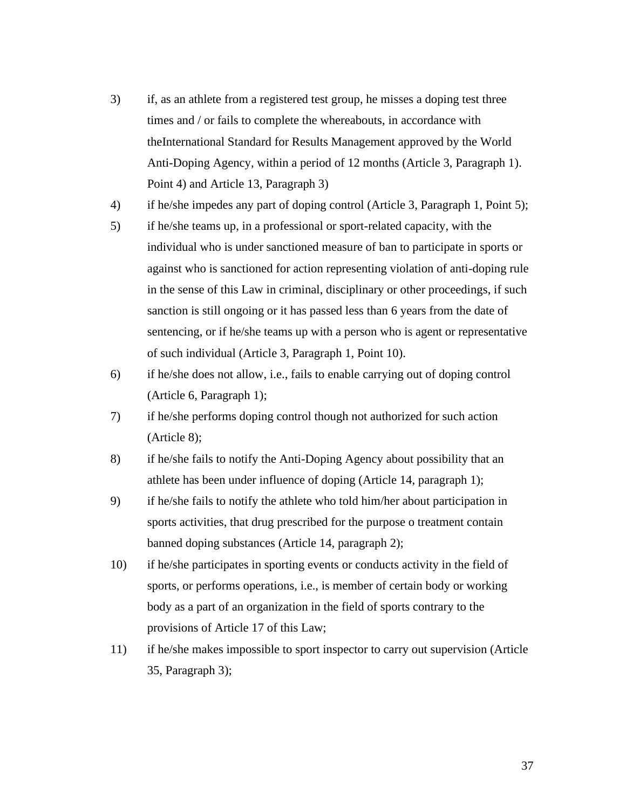- 3) if, as an athlete from a registered test group, he misses a doping test three times and / or fails to complete the whereabouts, in accordance with theInternational Standard for Results Management approved by the World Anti-Doping Agency, within a period of 12 months (Article 3, Paragraph 1). Point 4) and Article 13, Paragraph 3)
- 4) if he/she impedes any part of doping control (Article 3, Paragraph 1, Point 5);
- 5) if he/she teams up, in a professional or sport-related capacity, with the individual who is under sanctioned measure of ban to participate in sports or against who is sanctioned for action representing violation of anti-doping rule in the sense of this Law in criminal, disciplinary or other proceedings, if such sanction is still ongoing or it has passed less than 6 years from the date of sentencing, or if he/she teams up with a person who is agent or representative of such individual (Article 3, Paragraph 1, Point 10).
- 6) if he/she does not allow, i.e., fails to enable carrying out of doping control (Article 6, Paragraph 1);
- 7) if he/she performs doping control though not authorized for such action (Article 8);
- 8) if he/she fails to notify the Anti-Doping Agency about possibility that an athlete has been under influence of doping (Article 14, paragraph 1);
- 9) if he/she fails to notify the athlete who told him/her about participation in sports activities, that drug prescribed for the purpose o treatment contain banned doping substances (Article 14, paragraph 2);
- 10) if he/she participates in sporting events or conducts activity in the field of sports, or performs operations, i.e., is member of certain body or working body as a part of an organization in the field of sports contrary to the provisions of Article 17 of this Law;
- 11) if he/she makes impossible to sport inspector to carry out supervision (Article 35, Paragraph 3);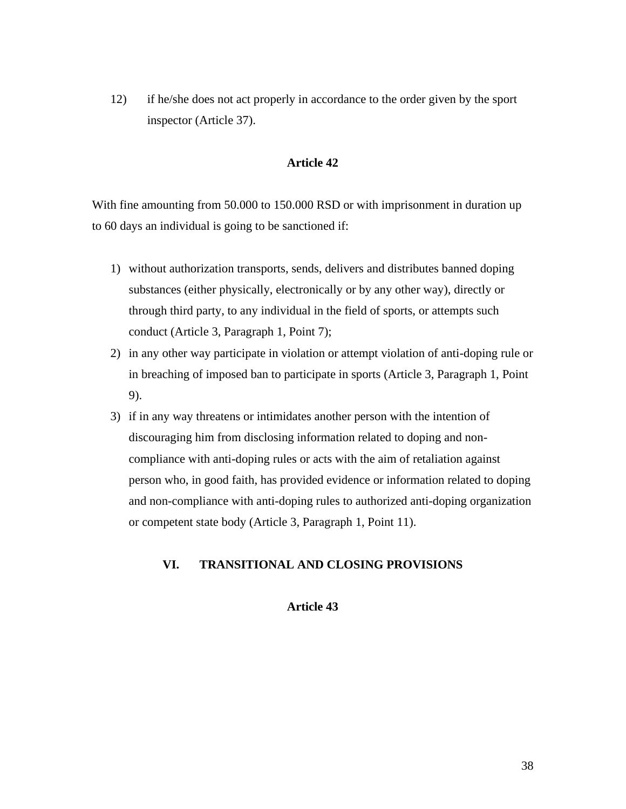12) if he/she does not act properly in accordance to the order given by the sport inspector (Article 37).

## **Article 42**

With fine amounting from 50.000 to 150.000 RSD or with imprisonment in duration up to 60 days an individual is going to be sanctioned if:

- 1) without authorization transports, sends, delivers and distributes banned doping substances (either physically, electronically or by any other way), directly or through third party, to any individual in the field of sports, or attempts such conduct (Article 3, Paragraph 1, Point 7);
- 2) in any other way participate in violation or attempt violation of anti-doping rule or in breaching of imposed ban to participate in sports (Article 3, Paragraph 1, Point 9).
- 3) if in any way threatens or intimidates another person with the intention of discouraging him from disclosing information related to doping and noncompliance with anti-doping rules or acts with the aim of retaliation against person who, in good faith, has provided evidence or information related to doping and non-compliance with anti-doping rules to authorized anti-doping organization or competent state body (Article 3, Paragraph 1, Point 11).

## **VI. TRANSITIONAL AND CLOSING PROVISIONS**

# **Article 43**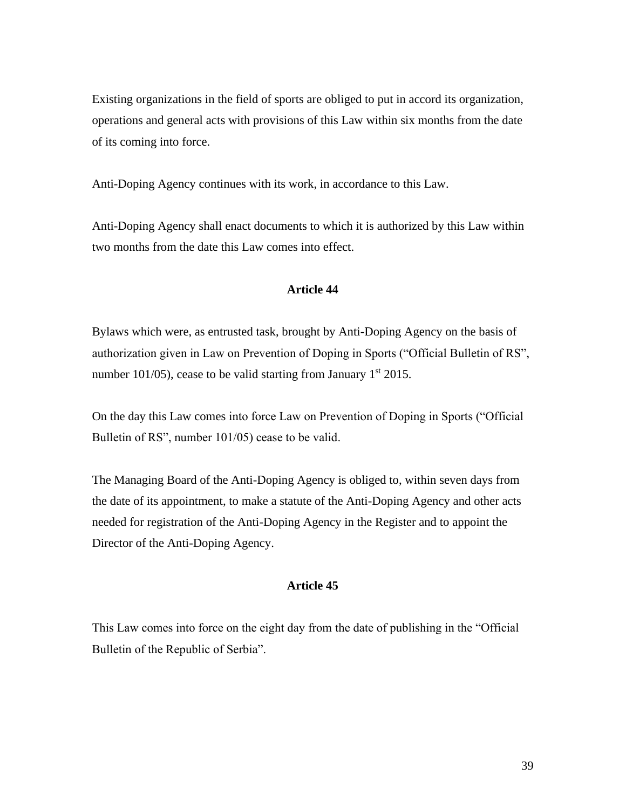Existing organizations in the field of sports are obliged to put in accord its organization, operations and general acts with provisions of this Law within six months from the date of its coming into force.

Anti-Doping Agency continues with its work, in accordance to this Law.

Anti-Doping Agency shall enact documents to which it is authorized by this Law within two months from the date this Law comes into effect.

## **Article 44**

Bylaws which were, as entrusted task, brought by Anti-Doping Agency on the basis of authorization given in Law on Prevention of Doping in Sports ("Official Bulletin of RS", number 101/05), cease to be valid starting from January  $1<sup>st</sup> 2015$ .

On the day this Law comes into force Law on Prevention of Doping in Sports ("Official Bulletin of RS", number 101/05) cease to be valid.

The Managing Board of the Anti-Doping Agency is obliged to, within seven days from the date of its appointment, to make a statute of the Anti-Doping Agency and other acts needed for registration of the Anti-Doping Agency in the Register and to appoint the Director of the Anti-Doping Agency.

#### **Article 45**

This Law comes into force on the eight day from the date of publishing in the "Official Bulletin of the Republic of Serbia".